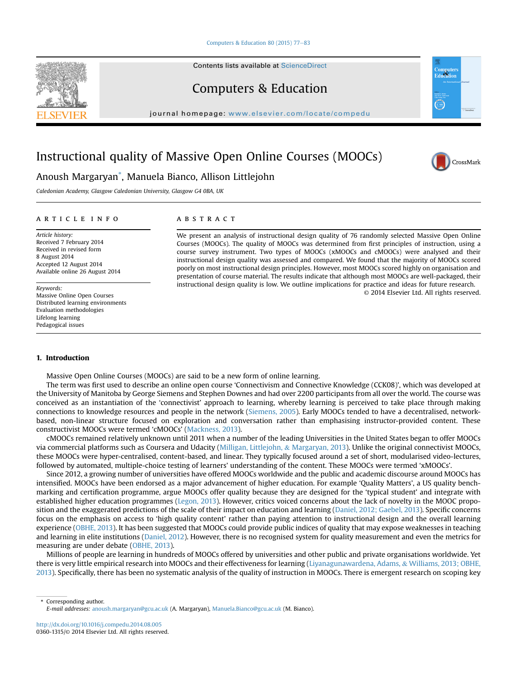### Computers & Education 80 (2015)  $77-83$  $77-83$

Contents lists available at [ScienceDirect](www.sciencedirect.com/science/journal/03601315)



journal homepage: [www.elsevier.com/locate/compedu](http://www.elsevier.com/locate/compedu)

# Instructional quality of Massive Open Online Courses (MOOCs)



Caledonian Academy, Glasgow Caledonian University, Glasgow G4 0BA, UK

#### article info

Article history: Received 7 February 2014 Received in revised form 8 August 2014 Accepted 12 August 2014 Available online 26 August 2014

Keywords: Massive Online Open Courses Distributed learning environments Evaluation methodologies Lifelong learning Pedagogical issues

### **ABSTRACT**

We present an analysis of instructional design quality of 76 randomly selected Massive Open Online Courses (MOOCs). The quality of MOOCs was determined from first principles of instruction, using a course survey instrument. Two types of MOOCs (xMOOCs and cMOOCs) were analysed and their instructional design quality was assessed and compared. We found that the majority of MOOCs scored poorly on most instructional design principles. However, most MOOCs scored highly on organisation and presentation of course material. The results indicate that although most MOOCs are well-packaged, their instructional design quality is low. We outline implications for practice and ideas for future research. © 2014 Elsevier Ltd. All rights reserved.

#### 1. Introduction

Massive Open Online Courses (MOOCs) are said to be a new form of online learning.

The term was first used to describe an online open course 'Connectivism and Connective Knowledge (CCK08)', which was developed at the University of Manitoba by George Siemens and Stephen Downes and had over 2200 participants from all over the world. The course was conceived as an instantiation of the 'connectivist' approach to learning, whereby learning is perceived to take place through making connections to knowledge resources and people in the network ([Siemens, 2005](#page-6-0)). Early MOOCs tended to have a decentralised, networkbased, non-linear structure focused on exploration and conversation rather than emphasising instructor-provided content. These constructivist MOOCs were termed 'cMOOCs' [\(Mackness, 2013](#page-6-0)).

cMOOCs remained relatively unknown until 2011 when a number of the leading Universities in the United States began to offer MOOCs via commercial platforms such as Coursera and Udacity [\(Milligan, Littlejohn,](#page-6-0) & [Margaryan, 2013](#page-6-0)). Unlike the original connectivist MOOCs, these MOOCs were hyper-centralised, content-based, and linear. They typically focused around a set of short, modularised video-lectures, followed by automated, multiple-choice testing of learners' understanding of the content. These MOOCs were termed 'xMOOCs'.

Since 2012, a growing number of universities have offered MOOCs worldwide and the public and academic discourse around MOOCs has intensified. MOOCs have been endorsed as a major advancement of higher education. For example 'Quality Matters', a US quality benchmarking and certification programme, argue MOOCs offer quality because they are designed for the 'typical student' and integrate with established higher education programmes [\(Legon, 2013](#page-6-0)). However, critics voiced concerns about the lack of novelty in the MOOC proposition and the exaggerated predictions of the scale of their impact on education and learning [\(Daniel, 2012; Gaebel, 2013](#page-6-0)). Specific concerns focus on the emphasis on access to 'high quality content' rather than paying attention to instructional design and the overall learning experience ([OBHE, 2013](#page-6-0)). It has been suggested that MOOCs could provide public indices of quality that may expose weaknesses in teaching and learning in elite institutions ([Daniel, 2012\)](#page-6-0). However, there is no recognised system for quality measurement and even the metrics for measuring are under debate [\(OBHE, 2013](#page-6-0)).

Millions of people are learning in hundreds of MOOCs offered by universities and other public and private organisations worldwide. Yet there is very little empirical research into MOOCs and their effectiveness for learning ([Liyanagunawardena, Adams,](#page-6-0) & [Williams, 2013; OBHE,](#page-6-0) [2013\)](#page-6-0). Specifically, there has been no systematic analysis of the quality of instruction in MOOCs. There is emergent research on scoping key

Corresponding author. E-mail addresses: [anoush.margaryan@gcu.ac.uk](mailto:anoush.margaryan@gcu.ac.uk) (A. Margaryan), [Manuela.Bianco@gcu.ac.uk](mailto:Manuela.Bianco@gcu.ac.uk) (M. Bianco).

<http://dx.doi.org/10.1016/j.compedu.2014.08.005> 0360-1315/© 2014 Elsevier Ltd. All rights reserved.

<span id="page-0-0"></span>



CrossMark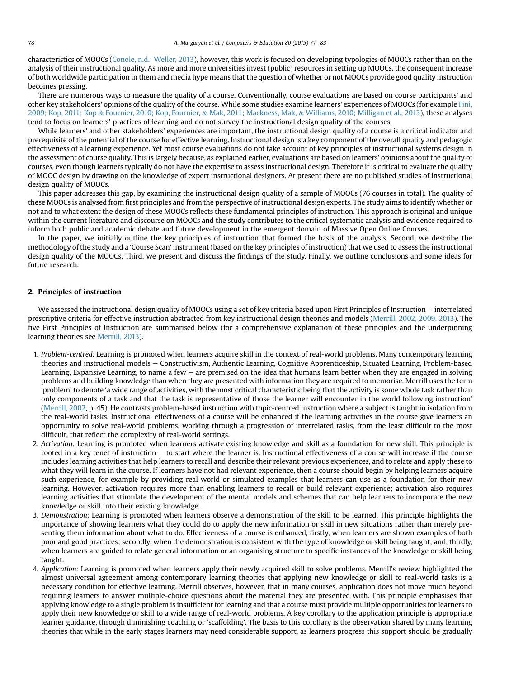<span id="page-1-0"></span>characteristics of MOOCs ([Conole, n.d.; Weller, 2013](#page-6-0)), however, this work is focused on developing typologies of MOOCs rather than on the analysis of their instructional quality. As more and more universities invest (public) resources in setting up MOOCs, the consequent increase of both worldwide participation in them and media hype means that the question of whether or not MOOCs provide good quality instruction becomes pressing.

There are numerous ways to measure the quality of a course. Conventionally, course evaluations are based on course participants' and other key stakeholders' opinions of the quality of the course. While some studies examine learners' experiences of MOOCs (for example [Fini,](#page-6-0) [2009; Kop, 2011; Kop](#page-6-0) & [Fournier, 2010; Kop, Fournier,](#page-6-0) & [Mak, 2011; Mackness, Mak,](#page-6-0) & [Williams, 2010; Milligan et al., 2013\)](#page-6-0), these analyses tend to focus on learners' practices of learning and do not survey the instructional design quality of the courses.

While learners' and other stakeholders' experiences are important, the instructional design quality of a course is a critical indicator and prerequisite of the potential of the course for effective learning. Instructional design is a key component of the overall quality and pedagogic effectiveness of a learning experience. Yet most course evaluations do not take account of key principles of instructional systems design in the assessment of course quality. This is largely because, as explained earlier, evaluations are based on learners' opinions about the quality of courses, even though learners typically do not have the expertise to assess instructional design. Therefore it is critical to evaluate the quality of MOOC design by drawing on the knowledge of expert instructional designers. At present there are no published studies of instructional design quality of MOOCs.

This paper addresses this gap, by examining the instructional design quality of a sample of MOOCs (76 courses in total). The quality of these MOOCs is analysed from first principles and from the perspective of instructional design experts. The study aims to identify whether or not and to what extent the design of these MOOCs reflects these fundamental principles of instruction. This approach is original and unique within the current literature and discourse on MOOCs and the study contributes to the critical systematic analysis and evidence required to inform both public and academic debate and future development in the emergent domain of Massive Open Online Courses.

In the paper, we initially outline the key principles of instruction that formed the basis of the analysis. Second, we describe the methodology of the study and a 'Course Scan' instrument (based on the key principles of instruction) that we used to assess the instructional design quality of the MOOCs. Third, we present and discuss the findings of the study. Finally, we outline conclusions and some ideas for future research.

## 2. Principles of instruction

We assessed the instructional design quality of MOOCs using a set of key criteria based upon First Principles of Instruction – interrelated prescriptive criteria for effective instruction abstracted from key instructional design theories and models ([Merrill, 2002, 2009, 2013\)](#page-6-0). The five First Principles of Instruction are summarised below (for a comprehensive explanation of these principles and the underpinning learning theories see [Merrill, 2013\)](#page-6-0).

- 1. Problem-centred: Learning is promoted when learners acquire skill in the context of real-world problems. Many contemporary learning theories and instructional models e Constructivism, Authentic Learning, Cognitive Apprenticeship, Situated Learning, Problem-based Learning, Expansive Learning, to name a few  $-$  are premised on the idea that humans learn better when they are engaged in solving problems and building knowledge than when they are presented with information they are required to memorise. Merrill uses the term 'problem' to denote 'a wide range of activities, with the most critical characteristic being that the activity is some whole task rather than only components of a task and that the task is representative of those the learner will encounter in the world following instruction' [\(Merrill, 2002](#page-6-0), p. 45). He contrasts problem-based instruction with topic-centred instruction where a subject is taught in isolation from the real-world tasks. Instructional effectiveness of a course will be enhanced if the learning activities in the course give learners an opportunity to solve real-world problems, working through a progression of interrelated tasks, from the least difficult to the most difficult, that reflect the complexity of real-world settings.
- 2. Activation: Learning is promoted when learners activate existing knowledge and skill as a foundation for new skill. This principle is rooted in a key tenet of instruction - to start where the learner is. Instructional effectiveness of a course will increase if the course includes learning activities that help learners to recall and describe their relevant previous experiences, and to relate and apply these to what they will learn in the course. If learners have not had relevant experience, then a course should begin by helping learners acquire such experience, for example by providing real-world or simulated examples that learners can use as a foundation for their new learning. However, activation requires more than enabling learners to recall or build relevant experience; activation also requires learning activities that stimulate the development of the mental models and schemes that can help learners to incorporate the new knowledge or skill into their existing knowledge.
- 3. Demonstration: Learning is promoted when learners observe a demonstration of the skill to be learned. This principle highlights the importance of showing learners what they could do to apply the new information or skill in new situations rather than merely presenting them information about what to do. Effectiveness of a course is enhanced, firstly, when learners are shown examples of both poor and good practices; secondly, when the demonstration is consistent with the type of knowledge or skill being taught; and, thirdly, when learners are guided to relate general information or an organising structure to specific instances of the knowledge or skill being taught.
- 4. Application: Learning is promoted when learners apply their newly acquired skill to solve problems. Merrill's review highlighted the almost universal agreement among contemporary learning theories that applying new knowledge or skill to real-world tasks is a necessary condition for effective learning. Merrill observes, however, that in many courses, application does not move much beyond requiring learners to answer multiple-choice questions about the material they are presented with. This principle emphasises that applying knowledge to a single problem is insufficient for learning and that a course must provide multiple opportunities for learners to apply their new knowledge or skill to a wide range of real-world problems. A key corollary to the application principle is appropriate learner guidance, through diminishing coaching or 'scaffolding'. The basis to this corollary is the observation shared by many learning theories that while in the early stages learners may need considerable support, as learners progress this support should be gradually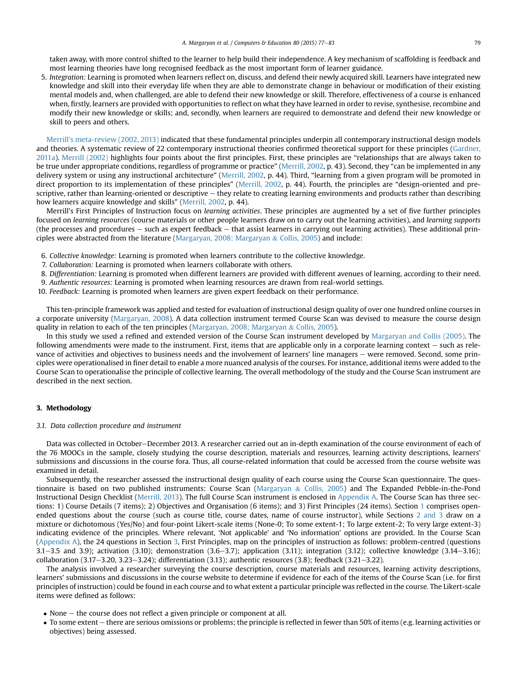taken away, with more control shifted to the learner to help build their independence. A key mechanism of scaffolding is feedback and most learning theories have long recognised feedback as the most important form of learner guidance.

5. Integration: Learning is promoted when learners reflect on, discuss, and defend their newly acquired skill. Learners have integrated new knowledge and skill into their everyday life when they are able to demonstrate change in behaviour or modification of their existing mental models and, when challenged, are able to defend their new knowledge or skill. Therefore, effectiveness of a course is enhanced when, firstly, learners are provided with opportunities to reflect on what they have learned in order to revise, synthesise, recombine and modify their new knowledge or skills; and, secondly, when learners are required to demonstrate and defend their new knowledge or skill to peers and others.

[Merrill's meta-review \(2002, 2013\)](#page-6-0) indicated that these fundamental principles underpin all contemporary instructional design models and theories. A systematic review of 22 contemporary instructional theories confirmed theoretical support for these principles [\(Gardner,](#page-6-0) [2011a\)](#page-6-0). [Merrill \(2002\)](#page-6-0) highlights four points about the first principles. First, these principles are "relationships that are always taken to be true under appropriate conditions, regardless of programme or practice" ([Merrill, 2002,](#page-6-0) p. 43). Second, they "can be implemented in any delivery system or using any instructional architecture" [\(Merrill, 2002,](#page-6-0) p. 44). Third, "learning from a given program will be promoted in direct proportion to its implementation of these principles" [\(Merrill, 2002](#page-6-0), p. 44). Fourth, the principles are "design-oriented and prescriptive, rather than learning-oriented or descriptive – they relate to creating learning environments and products rather than describing how learners acquire knowledge and skills" ([Merrill, 2002](#page-6-0), p. 44).

Merrill's First Principles of Instruction focus on learning activities. These principles are augmented by a set of five further principles focused on learning resources (course materials or other people learners draw on to carry out the learning activities), and learning supports (the processes and procedures  $-$  such as expert feedback  $-$  that assist learners in carrying out learning activities). These additional principles were abstracted from the literature ([Margaryan, 2008; Margaryan](#page-6-0) & [Collis, 2005\)](#page-6-0) and include:

- 6. Collective knowledge: Learning is promoted when learners contribute to the collective knowledge.
- 7. Collaboration: Learning is promoted when learners collaborate with others.
- 8. Differentiation: Learning is promoted when different learners are provided with different avenues of learning, according to their need.
- 9. Authentic resources: Learning is promoted when learning resources are drawn from real-world settings.
- 10. Feedback: Learning is promoted when learners are given expert feedback on their performance.

This ten-principle framework was applied and tested for evaluation of instructional design quality of over one hundred online courses in a corporate university [\(Margaryan, 2008](#page-6-0)). A data collection instrument termed Course Scan was devised to measure the course design quality in relation to each of the ten principles ([Margaryan, 2008; Margaryan](#page-6-0)  $\&$  [Collis, 2005\)](#page-6-0).

In this study we used a refined and extended version of the Course Scan instrument developed by [Margaryan and Collis \(2005\)](#page-6-0). The following amendments were made to the instrument. First, items that are applicable only in a corporate learning context – such as relevance of activities and objectives to business needs and the involvement of learners' line managers – were removed. Second, some principles were operationalised in finer detail to enable a more nuanced analysis of the courses. For instance, additional items were added to the Course Scan to operationalise the principle of collective learning. The overall methodology of the study and the Course Scan instrument are described in the next section.

# 3. Methodology

## 3.1. Data collection procedure and instrument

Data was collected in October-December 2013. A researcher carried out an in-depth examination of the course environment of each of the 76 MOOCs in the sample, closely studying the course description, materials and resources, learning activity descriptions, learners' submissions and discussions in the course fora. Thus, all course-related information that could be accessed from the course website was examined in detail.

Subsequently, the researcher assessed the instructional design quality of each course using the Course Scan questionnaire. The questionnaire is based on two published instruments: Course Scan [\(Margaryan](#page-6-0) & [Collis, 2005](#page-6-0)) and The Expanded Pebble-in-the-Pond Instructional Design Checklist ([Merrill, 2013\)](#page-6-0). The full Course Scan instrument is enclosed in Appendix A. The Course Scan has three sections: 1) Course Details (7 items); 2) Objectives and Organisation (6 items); and 3) First Principles (24 items). Section [1](#page-0-0) comprises open-ended questions about the course (such as course title, course dates, name of course instructor), while Sections [2 and 3](#page-1-0) draw on a mixture or dichotomous (Yes/No) and four-point Likert-scale items (None-0; To some extent-1; To large extent-2; To very large extent-3) indicating evidence of the principles. Where relevant, 'Not applicable' and 'No information' options are provided. In the Course Scan (Appendix A), the 24 questions in Section 3, First Principles, map on the principles of instruction as follows: problem-centred (questions 3.1 $-3.5$  and 3.9); activation (3.10); demonstration (3.6 $-3.7$ ); application (3.11); integration (3.12); collective knowledge (3.14 $-3.16$ ); collaboration  $(3.17-3.20, 3.23-3.24)$ ; differentiation  $(3.13)$ ; authentic resources  $(3.8)$ ; feedback  $(3.21-3.22)$ .

The analysis involved a researcher surveying the course description, course materials and resources, learning activity descriptions, learners' submissions and discussions in the course website to determine if evidence for each of the items of the Course Scan (i.e. for first principles of instruction) could be found in each course and to what extent a particular principle was reflected in the course. The Likert-scale items were defined as follows:

- $\bullet$  None the course does not reflect a given principle or component at all.
- To some extent there are serious omissions or problems; the principle is reflected in fewer than 50% of items (e.g. learning activities or objectives) being assessed.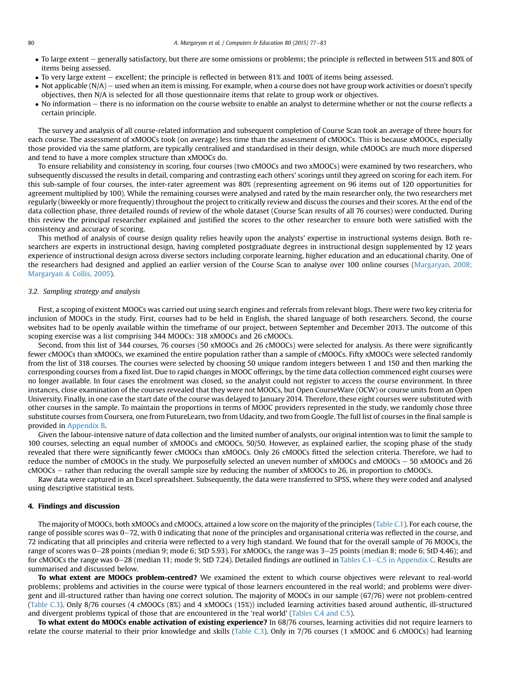- To large extent generally satisfactory, but there are some omissions or problems; the principle is reflected in between 51% and 80% of items being assessed.
- To very large extent excellent; the principle is reflected in between 81% and 100% of items being assessed.
- $\bullet$  Not applicable (N/A) used when an item is missing. For example, when a course does not have group work activities or doesn't specify objectives, then N/A is selected for all those questionnaire items that relate to group work or objectives.
- No information there is no information on the course website to enable an analyst to determine whether or not the course reflects a certain principle.

The survey and analysis of all course-related information and subsequent completion of Course Scan took an average of three hours for each course. The assessment of xMOOCs took (on average) less time than the assessment of cMOOCs. This is because xMOOCs, especially those provided via the same platform, are typically centralised and standardised in their design, while cMOOCs are much more dispersed and tend to have a more complex structure than xMOOCs do.

To ensure reliability and consistency in scoring, four courses (two cMOOCs and two xMOOCs) were examined by two researchers, who subsequently discussed the results in detail, comparing and contrasting each others' scorings until they agreed on scoring for each item. For this sub-sample of four courses, the inter-rater agreement was 80% (representing agreement on 96 items out of 120 opportunities for agreement multiplied by 100). While the remaining courses were analysed and rated by the main researcher only, the two researchers met regularly (biweekly or more frequently) throughout the project to critically review and discuss the courses and their scores. At the end of the data collection phase, three detailed rounds of review of the whole dataset (Course Scan results of all 76 courses) were conducted. During this review the principal researcher explained and justified the scores to the other researcher to ensure both were satisfied with the consistency and accuracy of scoring.

This method of analysis of course design quality relies heavily upon the analysts' expertise in instructional systems design. Both researchers are experts in instructional design, having completed postgraduate degrees in instructional design supplemented by 12 years experience of instructional design across diverse sectors including corporate learning, higher education and an educational charity. One of the researchers had designed and applied an earlier version of the Course Scan to analyse over 100 online courses ([Margaryan, 2008;](#page-6-0) [Margaryan](#page-6-0) & [Collis, 2005](#page-6-0)).

# 3.2. Sampling strategy and analysis

First, a scoping of existent MOOCs was carried out using search engines and referrals from relevant blogs. There were two key criteria for inclusion of MOOCs in the study. First, courses had to be held in English, the shared language of both researchers. Second, the course websites had to be openly available within the timeframe of our project, between September and December 2013. The outcome of this scoping exercise was a list comprising 344 MOOCs: 318 xMOOCs and 26 cMOOCs.

Second, from this list of 344 courses, 76 courses (50 xMOOCs and 26 cMOOCs) were selected for analysis. As there were significantly fewer cMOOCs than xMOOCs, we examined the entire population rather than a sample of cMOOCs. Fifty xMOOCs were selected randomly from the list of 318 courses. The courses were selected by choosing 50 unique random integers between 1 and 150 and then marking the corresponding courses from a fixed list. Due to rapid changes in MOOC offerings, by the time data collection commenced eight courses were no longer available. In four cases the enrolment was closed, so the analyst could not register to access the course environment. In three instances, close examination of the courses revealed that they were not MOOCs, but Open CourseWare (OCW) or course units from an Open University. Finally, in one case the start date of the course was delayed to January 2014. Therefore, these eight courses were substituted with other courses in the sample. To maintain the proportions in terms of MOOC providers represented in the study, we randomly chose three substitute courses from Coursera, one from FutureLearn, two from Udacity, and two from Google. The full list of courses in the final sample is provided in Appendix B.

Given the labour-intensive nature of data collection and the limited number of analysts, our original intention was to limit the sample to 100 courses, selecting an equal number of xMOOCs and cMOOCs, 50/50. However, as explained earlier, the scoping phase of the study revealed that there were significantly fewer cMOOCs than xMOOCs. Only 26 cMOOCs fitted the selection criteria. Therefore, we had to reduce the number of cMOOCs in the study. We purposefully selected an uneven number of xMOOCs and cMOOCs  $-50$  xMOOCs and 26 cMOOCs - rather than reducing the overall sample size by reducing the number of xMOOCs to 26, in proportion to cMOOCs.

Raw data were captured in an Excel spreadsheet. Subsequently, the data were transferred to SPSS, where they were coded and analysed using descriptive statistical tests.

#### 4. Findings and discussion

The majority of MOOCs, both xMOOCs and cMOOCs, attained a low score on the majority of the principles (Table C.1). For each course, the range of possible scores was 0-72, with 0 indicating that none of the principles and organisational criteria was reflected in the course, and 72 indicating that all principles and criteria were reflected to a very high standard. We found that for the overall sample of 76 MOOCs, the range of scores was 0–28 points (median 9; mode 6; StD 5.93). For xMOOCs, the range was 3–25 points (median 8; mode 6; StD 4.46); and for cMOOCs the range was 0–28 (median 11; mode 9; StD 7.24). Detailed findings are outlined in Tables C.1–C.5 in Appendix C. Results are summarised and discussed below.

To what extent are MOOCs problem-centred? We examined the extent to which course objectives were relevant to real-world problems; problems and activities in the course were typical of those learners encountered in the real world; and problems were divergent and ill-structured rather than having one correct solution. The majority of MOOCs in our sample (67/76) were not problem-centred (Table C.3). Only 8/76 courses (4 cMOOCs (8%) and 4 xMOOCs (15%)) included learning activities based around authentic, ill-structured and divergent problems typical of those that are encountered in the 'real world' (Tables C.4 and C.5).

To what extent do MOOCs enable activation of existing experience? In 68/76 courses, learning activities did not require learners to relate the course material to their prior knowledge and skills (Table C.3). Only in 7/76 courses (1 xMOOC and 6 cMOOCs) had learning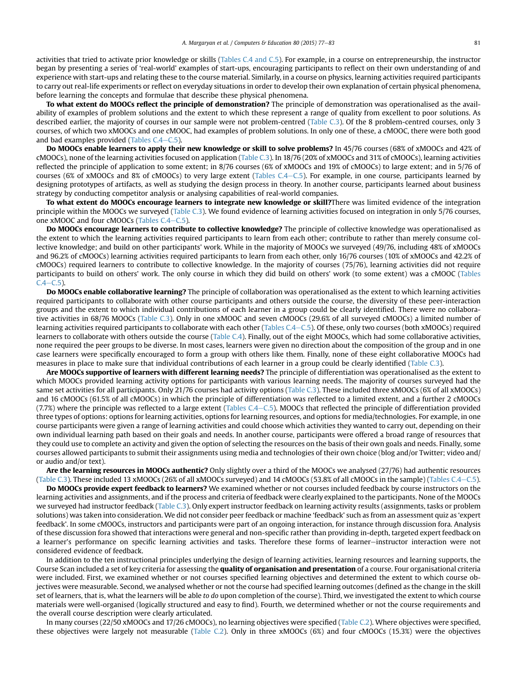activities that tried to activate prior knowledge or skills (Tables C.4 and C.5). For example, in a course on entrepreneurship, the instructor began by presenting a series of 'real-world' examples of start-ups, encouraging participants to reflect on their own understanding of and experience with start-ups and relating these to the course material. Similarly, in a course on physics, learning activities required participants to carry out real-life experiments or reflect on everyday situations in order to develop their own explanation of certain physical phenomena, before learning the concepts and formulae that describe these physical phenomena.

To what extent do MOOCs reflect the principle of demonstration? The principle of demonstration was operationalised as the availability of examples of problem solutions and the extent to which these represent a range of quality from excellent to poor solutions. As described earlier, the majority of courses in our sample were not problem-centred (Table C.3). Of the 8 problem-centred courses, only 3 courses, of which two xMOOCs and one cMOOC, had examples of problem solutions. In only one of these, a cMOOC, there were both good and bad examples provided (Tables  $C.4-C.5$ ).

Do MOOCs enable learners to apply their new knowledge or skill to solve problems? In 45/76 courses (68% of xMOOCs and 42% of cMOOCs), none of the learning activities focused on application (Table C.3). In 18/76 (20% of xMOOCs and 31% of cMOOCs), learning activities reflected the principle of application to some extent; in 8/76 courses (6% of xMOOCs and 19% of cMOOCs) to large extent; and in 5/76 of courses (6% of xMOOCs and 8% of cMOOCs) to very large extent (Tables C.4–C.5). For example, in one course, participants learned by designing prototypes of artifacts, as well as studying the design process in theory. In another course, participants learned about business strategy by conducting competitor analysis or analysing capabilities of real-world companies.

To what extent do MOOCs encourage learners to integrate new knowledge or skill?There was limited evidence of the integration principle within the MOOCs we surveyed (Table C.3). We found evidence of learning activities focused on integration in only 5/76 courses, one xMOOC and four cMOOCs (Tables  $C.4-C.5$ ).

Do MOOCs encourage learners to contribute to collective knowledge? The principle of collective knowledge was operationalised as the extent to which the learning activities required participants to learn from each other; contribute to rather than merely consume collective knowledge; and build on other participants' work. While in the majority of MOOCs we surveyed (49/76, including 48% of xMOOCs and 96.2% of cMOOCs) learning activities required participants to learn from each other, only 16/76 courses (10% of xMOOCs and 42.2% of cMOOCs) required learners to contribute to collective knowledge. In the majority of courses (75/76), learning activities did not require participants to build on others' work. The only course in which they did build on others' work (to some extent) was a cMOOC (Tables  $C.4 - C.5$ ).

Do MOOCs enable collaborative learning? The principle of collaboration was operationalised as the extent to which learning activities required participants to collaborate with other course participants and others outside the course, the diversity of these peer-interaction groups and the extent to which individual contributions of each learner in a group could be clearly identified. There were no collaborative activities in 68/76 MOOCs (Table C.3). Only in one xMOOC and seven cMOOCs (29.6% of all surveyed cMOOCs) a limited number of learning activities required participants to collaborate with each other (Tables  $C.4-C.5$ ). Of these, only two courses (both xMOOCs) required learners to collaborate with others outside the course (Table C.4). Finally, out of the eight MOOCs, which had some collaborative activities, none required the peer groups to be diverse. In most cases, learners were given no direction about the composition of the group and in one case learners were specifically encouraged to form a group with others like them. Finally, none of these eight collaborative MOOCs had measures in place to make sure that individual contributions of each learner in a group could be clearly identified (Table C.3).

Are MOOCs supportive of learners with different learning needs? The principle of differentiation was operationalised as the extent to which MOOCs provided learning activity options for participants with various learning needs. The majority of courses surveyed had the same set activities for all participants. Only 21/76 courses had activity options (Table C.3). These included three xMOOCs (6% of all xMOOCs) and 16 cMOOCs (61.5% of all cMOOCs) in which the principle of differentiation was reflected to a limited extent, and a further 2 cMOOCs  $(7.7%)$  where the principle was reflected to a large extent (Tables C.4–C.5). MOOCs that reflected the principle of differentiation provided three types of options: options for learning activities, options for learning resources, and options for media/technologies. For example, in one course participants were given a range of learning activities and could choose which activities they wanted to carry out, depending on their own individual learning path based on their goals and needs. In another course, participants were offered a broad range of resources that they could use to complete an activity and given the option of selecting the resources on the basis of their own goals and needs. Finally, some courses allowed participants to submit their assignments using media and technologies of their own choice (blog and/or Twitter; video and/ or audio and/or text).

Are the learning resources in MOOCs authentic? Only slightly over a third of the MOOCs we analysed (27/76) had authentic resources (Table C.3). These included 13 xMOOCs (26% of all xMOOCs surveyed) and 14 cMOOCs (53.8% of all cMOOCs in the sample) (Tables C.4-C.5).

Do MOOCs provide expert feedback to learners? We examined whether or not courses included feedback by course instructors on the learning activities and assignments, and if the process and criteria of feedback were clearly explained to the participants. None of the MOOCs we surveyed had instructor feedback (Table C.3). Only expert instructor feedback on learning activity results (assignments, tasks or problem solutions) was taken into consideration. We did not consider peer feedback or machine 'feedback' such as from an assessment quiz as 'expert feedback'. In some cMOOCs, instructors and participants were part of an ongoing interaction, for instance through discussion fora. Analysis of these discussion fora showed that interactions were general and non-specific rather than providing in-depth, targeted expert feedback on a learner's performance on specific learning activities and tasks. Therefore these forms of learner-instructor interaction were not considered evidence of feedback.

In addition to the ten instructional principles underlying the design of learning activities, learning resources and learning supports, the Course Scan included a set of key criteria for assessing the quality of organisation and presentation of a course. Four organisational criteria were included. First, we examined whether or not courses specified learning objectives and determined the extent to which course objectives were measurable. Second, we analysed whether or not the course had specified learning outcomes (defined as the change in the skill set of learners, that is, what the learners will be able to do upon completion of the course). Third, we investigated the extent to which course materials were well-organised (logically structured and easy to find). Fourth, we determined whether or not the course requirements and the overall course description were clearly articulated.

In many courses (22/50 xMOOCs and 17/26 cMOOCs), no learning objectives were specified (Table C.2). Where objectives were specified, these objectives were largely not measurable (Table C.2). Only in three xMOOCs (6%) and four cMOOCs (15.3%) were the objectives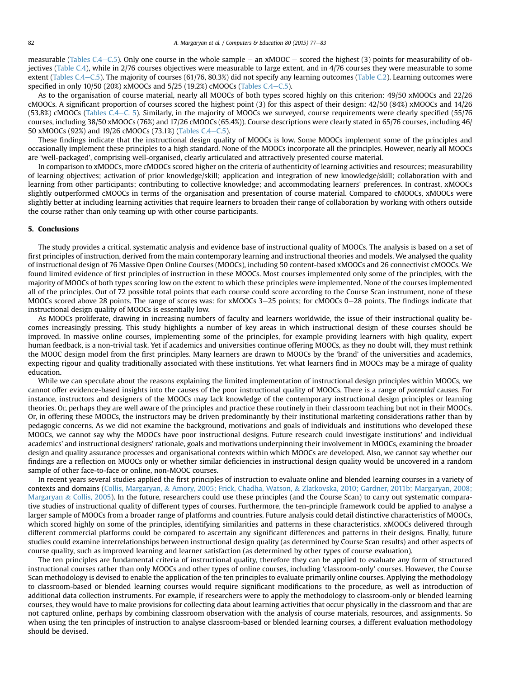measurable (Tables C.4–C.5). Only one course in the whole sample  $-$  an xMOOC  $-$  scored the highest (3) points for measurability of objectives (Table C.4), while in 2/76 courses objectives were measurable to large extent, and in 4/76 courses they were measurable to some extent (Tables C.4–C.5). The majority of courses (61/76, 80.3%) did not specify any learning outcomes (Table C.2). Learning outcomes were specified in only 10/50 (20%) xMOOCs and 5/25 (19.2%) cMOOCs (Tables C.4-C.5).

As to the organisation of course material, nearly all MOOCs of both types scored highly on this criterion: 49/50 xMOOCs and 22/26 cMOOCs. A significant proportion of courses scored the highest point (3) for this aspect of their design: 42/50 (84%) xMOOCs and 14/26  $(53.8%)$  cMOOCs (Tables C.4–C. 5). Similarly, in the majority of MOOCs we surveyed, course requirements were clearly specified (55/76) courses, including 38/50 xMOOCs (76%) and 17/26 cMOOCs (65.4%)). Course descriptions were clearly stated in 65/76 courses, including 46/ 50 xMOOCs (92%) and 19/26 cMOOCs (73.1%) (Tables C.4–C.5).

These findings indicate that the instructional design quality of MOOCs is low. Some MOOCs implement some of the principles and occasionally implement these principles to a high standard. None of the MOOCs incorporate all the principles. However, nearly all MOOCs are 'well-packaged', comprising well-organised, clearly articulated and attractively presented course material.

In comparison to xMOOCs, more cMOOCs scored higher on the criteria of authenticity of learning activities and resources; measurability of learning objectives; activation of prior knowledge/skill; application and integration of new knowledge/skill; collaboration with and learning from other participants; contributing to collective knowledge; and accommodating learners' preferences. In contrast, xMOOCs slightly outperformed cMOOCs in terms of the organisation and presentation of course material. Compared to cMOOCs, xMOOCs were slightly better at including learning activities that require learners to broaden their range of collaboration by working with others outside the course rather than only teaming up with other course participants.

### 5. Conclusions

The study provides a critical, systematic analysis and evidence base of instructional quality of MOOCs. The analysis is based on a set of first principles of instruction, derived from the main contemporary learning and instructional theories and models. We analysed the quality of instructional design of 76 Massive Open Online Courses (MOOCs), including 50 content-based xMOOCs and 26 connectivist cMOOCs. We found limited evidence of first principles of instruction in these MOOCs. Most courses implemented only some of the principles, with the majority of MOOCs of both types scoring low on the extent to which these principles were implemented. None of the courses implemented all of the principles. Out of 72 possible total points that each course could score according to the Course Scan instrument, none of these MOOCs scored above 28 points. The range of scores was: for xMOOCs 3–25 points; for cMOOCs 0–28 points. The findings indicate that instructional design quality of MOOCs is essentially low.

As MOOCs proliferate, drawing in increasing numbers of faculty and learners worldwide, the issue of their instructional quality becomes increasingly pressing. This study highlights a number of key areas in which instructional design of these courses should be improved. In massive online courses, implementing some of the principles, for example providing learners with high quality, expert human feedback, is a non-trivial task. Yet if academics and universities continue offering MOOCs, as they no doubt will, they must rethink the MOOC design model from the first principles. Many learners are drawn to MOOCs by the 'brand' of the universities and academics, expecting rigour and quality traditionally associated with these institutions. Yet what learners find in MOOCs may be a mirage of quality education.

While we can speculate about the reasons explaining the limited implementation of instructional design principles within MOOCs, we cannot offer evidence-based insights into the causes of the poor instructional quality of MOOCs. There is a range of potential causes. For instance, instructors and designers of the MOOCs may lack knowledge of the contemporary instructional design principles or learning theories. Or, perhaps they are well aware of the principles and practice these routinely in their classroom teaching but not in their MOOCs. Or, in offering these MOOCs, the instructors may be driven predominantly by their institutional marketing considerations rather than by pedagogic concerns. As we did not examine the background, motivations and goals of individuals and institutions who developed these MOOCs, we cannot say why the MOOCs have poor instructional designs. Future research could investigate institutions' and individual academics' and instructional designers' rationale, goals and motivations underpinning their involvement in MOOCs, examining the broader design and quality assurance processes and organisational contexts within which MOOCs are developed. Also, we cannot say whether our findings are a reflection on MOOCs only or whether similar deficiencies in instructional design quality would be uncovered in a random sample of other face-to-face or online, non-MOOC courses.

In recent years several studies applied the first principles of instruction to evaluate online and blended learning courses in a variety of contexts and domains [\(Collis, Margaryan,](#page-6-0) & [Amory, 2005; Frick, Chadha, Watson,](#page-6-0) & [Zlatkovska, 2010; Gardner, 2011b; Margaryan, 2008;](#page-6-0) [Margaryan](#page-6-0) & [Collis, 2005\)](#page-6-0). In the future, researchers could use these principles (and the Course Scan) to carry out systematic comparative studies of instructional quality of different types of courses. Furthermore, the ten-principle framework could be applied to analyse a larger sample of MOOCs from a broader range of platforms and countries. Future analysis could detail distinctive characteristics of MOOCs, which scored highly on some of the principles, identifying similarities and patterns in these characteristics. xMOOCs delivered through different commercial platforms could be compared to ascertain any significant differences and patterns in their designs. Finally, future studies could examine interrelationships between instructional design quality (as determined by Course Scan results) and other aspects of course quality, such as improved learning and learner satisfaction (as determined by other types of course evaluation).

The ten principles are fundamental criteria of instructional quality, therefore they can be applied to evaluate any form of structured instructional courses rather than only MOOCs and other types of online courses, including 'classroom-only' courses. However, the Course Scan methodology is devised to enable the application of the ten principles to evaluate primarily online courses. Applying the methodology to classroom-based or blended learning courses would require significant modifications to the procedure, as well as introduction of additional data collection instruments. For example, if researchers were to apply the methodology to classroom-only or blended learning courses, they would have to make provisions for collecting data about learning activities that occur physically in the classroom and that are not captured online, perhaps by combining classroom observation with the analysis of course materials, resources, and assignments. So when using the ten principles of instruction to analyse classroom-based or blended learning courses, a different evaluation methodology should be devised.